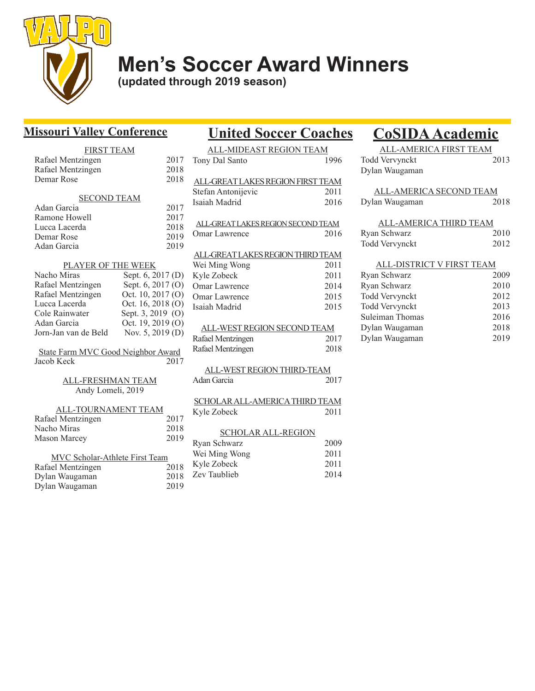

# **Men's Soccer Award Winners**

**(updated through 2019 season)**

### **Missouri Valley Conference**

### FIRST TEAM Rafael Mentzingen 2017

| Rafael Mentzingen  | 2018 |
|--------------------|------|
| Demar Rose         | 2018 |
| <b>SECOND TEAM</b> |      |
|                    |      |
| Adan Garcia        | 2017 |
| Ramone Howell      | 2017 |
| Lucca Lacerda      | 2018 |
| Demar Rose         | 2019 |
| Adan Garcia        | 2019 |
| AVED               |      |

### PLAYER OF THE WEEK Nacho Miras Sept. 6, 2017 (D)

| Rafael Mentzingen    | Sept. 6, 2017 (O) |
|----------------------|-------------------|
| Rafael Mentzingen    | Oct. 10, 2017 (O) |
| Lucca Lacerda        | Oct. 16, 2018 (O) |
| Cole Rainwater       | Sept. 3, 2019 (O) |
| Adan Garcia          | Oct. 19, 2019 (O) |
| Jorn-Jan van de Beld | Nov. 5, 2019 (D)  |

State Farm MVC Good Neighbor Award Jacob Keck 2017

#### ALL-FRESHMAN TEAM Andy Lomeli, 2019

| ALL-TOURNAMENT TEAM |      |
|---------------------|------|
| Rafael Mentzingen   | 2017 |
| Nacho Miras         | 2018 |
| Mason Marcey        | 2019 |
|                     |      |

| MVC Scholar-Athlete First Team |      |  |
|--------------------------------|------|--|
| Rafael Mentzingen              | 2018 |  |
| Dylan Waugaman                 | 2018 |  |
| Dylan Waugaman                 | 2019 |  |

## **United Soccer Coaches CoSIDA Academic**

| ALL-MIDEAST REGION TEAM            |      |  |
|------------------------------------|------|--|
| Tony Dal Santo                     | 1996 |  |
|                                    |      |  |
| ALL-GREAT LAKES REGION FIRST TEAM  |      |  |
| Stefan Antonijevic                 | 2011 |  |
| Isaiah Madrid                      | 2016 |  |
| ALL-GREAT LAKES REGION SECOND TEAM |      |  |
|                                    |      |  |
| Omar Lawrence                      | 2016 |  |
| ALL-GREAT LAKES REGION THIRD TEAM  |      |  |
| Wei Ming Wong                      | 2011 |  |
| Kyle Zobeck                        | 2011 |  |
| Omar Lawrence                      |      |  |
|                                    | 2014 |  |
| Omar Lawrence                      | 2015 |  |
| Isaiah Madrid                      | 2015 |  |
| ALL-WEST REGION SECOND TEAM        |      |  |
| Rafael Mentzingen                  | 2017 |  |
| Rafael Mentzingen                  | 2018 |  |
|                                    |      |  |
| ALL-WEST REGION THIRD-TEAM         |      |  |
| Adan Garcia                        | 2017 |  |
|                                    |      |  |
| SCHOLAR ALL-AMERICA THIRD TEAM     |      |  |
| Kyle Zobeck                        | 2011 |  |

#### SCHOLAR ALL-REGION

| Ryan Schwarz  | 2009 |
|---------------|------|
| Wei Ming Wong | 2011 |
| Kyle Zobeck   | 2011 |
| Zev Taublieb  | 2014 |
|               |      |

| ALL-AMERICA FIRST TEAM |      |
|------------------------|------|
| Todd Vervynckt         | 2013 |
| Dylan Waugaman         |      |

| ALL-AMERICA SECOND TEAM<br>Dylan Waugaman | 2018         |  |
|-------------------------------------------|--------------|--|
| ALL-AMERICA THIRD TEAM                    |              |  |
| Ryan Schwarz<br>Todd Vervynckt            | 2010<br>2012 |  |
|                                           |              |  |
| ALL-DISTRICT V FIRST TEAM                 |              |  |
| Ryan Schwarz                              |              |  |

| Ryan Schwarz    | ZUUY. |
|-----------------|-------|
| Ryan Schwarz    | 2010  |
| Todd Vervynckt  | 2012  |
| Todd Vervynckt  | 2013  |
| Suleiman Thomas | 2016  |
| Dylan Waugaman  | 2018  |
| Dylan Waugaman  | 2019  |
|                 |       |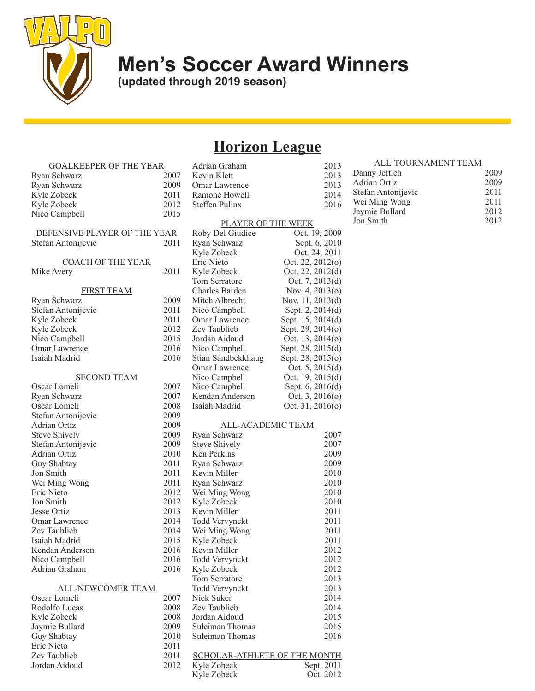

# **Men's Soccer Award Winners**

**(updated through 2019 season)**

# **Horizon League**

| <b>GOALKEEPER OF THE YEAR</b> |      | Adrian Graham                       | 2013               |
|-------------------------------|------|-------------------------------------|--------------------|
| Ryan Schwarz                  | 2007 | Kevin Klett                         | 2013               |
| Ryan Schwarz                  | 2009 | Omar Lawrence                       | 2013               |
| Kyle Zobeck                   | 2011 | Ramone Howell                       | 2014               |
| Kyle Zobeck                   | 2012 | Steffen Pulinx                      | 2016               |
| Nico Campbell                 | 2015 |                                     |                    |
|                               |      | <b>PLAYER OF THE WEEK</b>           |                    |
| DEFENSIVE PLAYER OF THE YEAR  |      | Roby Del Giudice                    | Oct. 19, 2009      |
| Stefan Antonijevic            | 2011 | Ryan Schwarz                        | Sept. 6, 2010      |
|                               |      | Kyle Zobeck                         | Oct. 24, 2011      |
| <b>COACH OF THE YEAR</b>      |      | Eric Nieto                          | Oct. 22, $2012(o)$ |
| Mike Avery                    | 2011 | Kyle Zobeck                         | Oct. 22, 2012(d)   |
|                               |      | Tom Serratore                       | Oct. 7, 2013(d)    |
| <b>FIRST TEAM</b>             |      | Charles Barden                      | Nov. 4, 2013(o)    |
| Ryan Schwarz                  | 2009 | Mitch Albrecht                      | Nov. 11, 2013(d)   |
| Stefan Antonijevic            | 2011 | Nico Campbell                       | Sept. 2, 2014(d)   |
| Kyle Zobeck                   | 2011 | Omar Lawrence                       | Sept. 15, 2014(d)  |
| Kyle Zobeck                   | 2012 | Zev Taublieb                        | Sept. 29, 2014(o)  |
| Nico Campbell                 | 2015 | Jordan Aidoud                       | Oct. 13, 2014(o)   |
| Omar Lawrence                 | 2016 | Nico Campbell                       | Sept. 28, 2015(d)  |
| Isaiah Madrid                 | 2016 | Stian Sandbekkhaug                  | Sept. 28, 2015(o)  |
|                               |      | Omar Lawrence                       | Oct. $5, 2015(d)$  |
| <b>SECOND TEAM</b>            |      | Nico Campbell                       | Oct. $19, 2015(d)$ |
| Oscar Lomeli                  | 2007 | Nico Campbell                       | Sept. 6, 2016(d)   |
| Ryan Schwarz                  | 2007 | Kendan Anderson                     | Oct. $3, 2016(o)$  |
| Oscar Lomeli                  | 2008 | Isaiah Madrid                       | Oct. $31, 2016(o)$ |
| Stefan Antonijevic            | 2009 |                                     |                    |
| Adrian Ortiz                  | 2009 | ALL-ACADEMIC TEAM                   |                    |
| Steve Shively                 | 2009 | Ryan Schwarz                        | 2007               |
| Stefan Antonijevic            | 2009 | <b>Steve Shively</b>                | 2007               |
| Adrian Ortiz                  | 2010 | Ken Perkins                         | 2009               |
| Guy Shabtay                   | 2011 | Ryan Schwarz                        | 2009               |
| Jon Smith                     | 2011 | Kevin Miller                        | 2010               |
| Wei Ming Wong                 | 2011 | Ryan Schwarz                        | 2010               |
| Eric Nieto                    | 2012 | Wei Ming Wong                       | 2010               |
| Jon Smith                     | 2012 | Kyle Zobeck                         | 2010               |
| Jesse Ortiz                   | 2013 | Kevin Miller                        | 2011               |
| Omar Lawrence                 | 2014 | Todd Vervynckt                      | 2011               |
| Zev Taublieb                  | 2014 | Wei Ming Wong                       | 2011               |
| Isaiah Madrid                 | 2015 | Kyle Zobeck                         | 2011               |
| Kendan Anderson               | 2016 | Kevin Miller                        | 2012               |
| Nico Campbell                 | 2016 | Todd Vervynckt                      | 2012               |
| Adrian Graham                 | 2016 | Kyle Zobeck                         | 2012               |
|                               |      | Tom Serratore                       | 2013               |
| <b>ALL-NEWCOMER TEAM</b>      |      | Todd Vervynckt                      | 2013               |
| Oscar Lomeli                  | 2007 | Nick Suker                          | 2014               |
| Rodolfo Lucas                 | 2008 | Zev Taublieb                        | 2014               |
| Kyle Zobeck                   | 2008 | Jordan Aidoud                       | 2015               |
| Jaymie Bullard                | 2009 | Suleiman Thomas                     | 2015               |
| Guy Shabtay                   | 2010 | Suleiman Thomas                     | 2016               |
| Eric Nieto                    | 2011 |                                     |                    |
| Zev Taublieb                  | 2011 | <b>SCHOLAR-ATHLETE OF THE MONTH</b> |                    |
| Jordan Aidoud                 | 2012 | Kyle Zobeck                         | Sept. 2011         |
|                               |      | Kyle Zobeck                         | Oct. 2012          |
|                               |      |                                     |                    |

| Kevin Klett                 | <u>_vij</u><br>2013 | Danny Jeftich       |
|-----------------------------|---------------------|---------------------|
| Omar Lawrence               | 2013                | <b>Adrian Ortiz</b> |
| Ramone Howell               | 2014                | Stefan Antonije     |
| Steffen Pulinx              | 2016                | Wei Ming Wong       |
|                             |                     | Jaymie Bullard      |
| PLAYER OF THE WEEK          |                     | Jon Smith           |
| Roby Del Giudice            | Oct. 19, 2009       |                     |
| Ryan Schwarz                | Sept. 6, 2010       |                     |
| Kyle Zobeck                 | Oct. 24, 2011       |                     |
| Eric Nieto                  | Oct. 22, 2012(o)    |                     |
| Kyle Zobeck                 | Oct. 22, 2012(d)    |                     |
| Tom Serratore               | Oct. 7, 2013(d)     |                     |
| Charles Barden              | Nov. 4, 2013(o)     |                     |
| Mitch Albrecht              | Nov. 11, 2013(d)    |                     |
| Nico Campbell               | Sept. 2, 2014(d)    |                     |
| Omar Lawrence               | Sept. 15, 2014(d)   |                     |
| Zev Taublieb                | Sept. 29, 2014(o)   |                     |
| Jordan Aidoud               | Oct. 13, 2014(o)    |                     |
| Nico Campbell               | Sept. 28, 2015(d)   |                     |
| Stian Sandbekkhaug          | Sept. 28, 2015(o)   |                     |
| Omar Lawrence               | Oct. 5, $2015(d)$   |                     |
| Nico Campbell               | Oct. 19, 2015(d)    |                     |
| Nico Campbell               | Sept. 6, 2016(d)    |                     |
| Kendan Anderson             | Oct. $3, 2016(o)$   |                     |
| Isaiah Madrid               | Oct. $31, 2016(o)$  |                     |
|                             |                     |                     |
| ALL-ACADEMIC TEAM           |                     |                     |
| Ryan Schwarz                | 2007                |                     |
| <b>Steve Shively</b>        | 2007                |                     |
| Ken Perkins                 | 2009                |                     |
| Ryan Schwarz                | 2009                |                     |
| Kevin Miller                | 2010                |                     |
| Ryan Schwarz                | 2010                |                     |
| Wei Ming Wong               | 2010                |                     |
| Kyle Zobeck<br>Kevin Miller | 2010                |                     |
|                             | 2011                |                     |
| Todd Vervynckt              | 2011                |                     |
| Wei Ming Wong               | 2011<br>2011        |                     |
| Kyle Zobeck<br>Kevin Miller | 2012                |                     |
| Todd Vervynckt              | 2012                |                     |
| Kyle Zobeck                 | 2012                |                     |
| Tom Serratore               | 2013                |                     |
| <b>Todd Vervynckt</b>       | 2013                |                     |
| Nick Suker                  | 2014                |                     |
| Zev Taublieb                | 2014                |                     |
| Jordan Aidoud               | 2015                |                     |
| Suleiman Thomas             | 2015                |                     |
| Suleiman Thomas             | 2016                |                     |
|                             |                     |                     |

| <b>ALL-TOURNAMENT TEAM</b> |      |
|----------------------------|------|
| Danny Jeftich              | 2009 |
| Adrian Ortiz               | 2009 |
| Stefan Antonijevic         | 2011 |
| Wei Ming Wong              | 2011 |
| Jaymie Bullard             | 2012 |
| Jon Smith                  | 2012 |